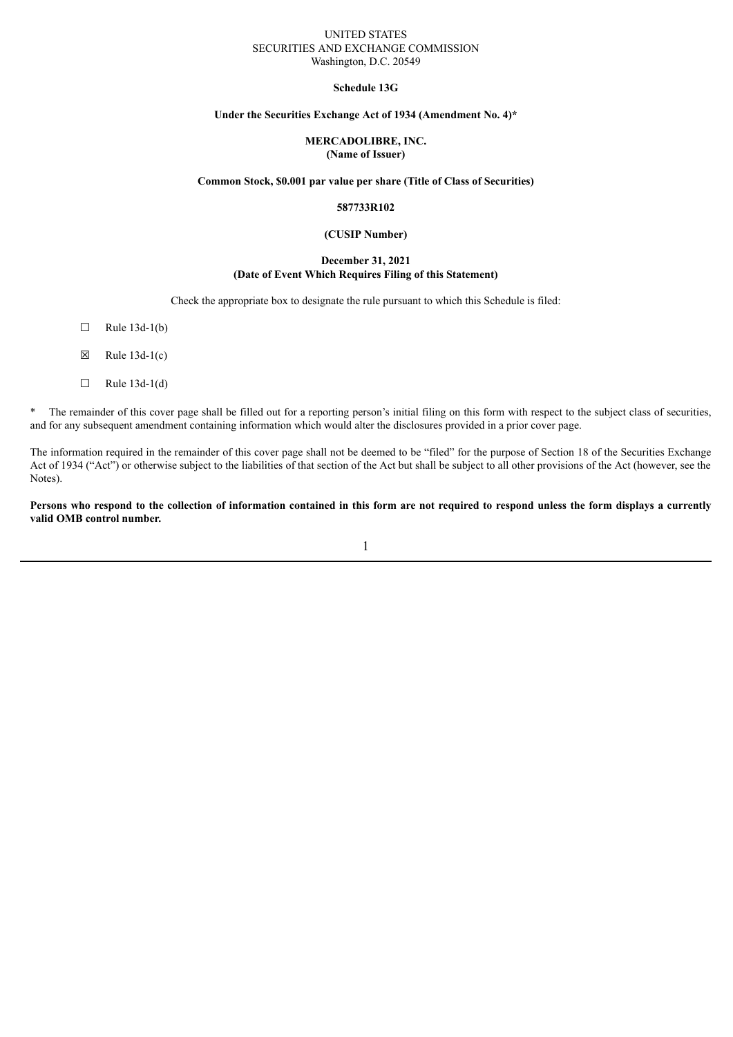#### UNITED STATES SECURITIES AND EXCHANGE COMMISSION Washington, D.C. 20549

#### **Schedule 13G**

### **Under the Securities Exchange Act of 1934 (Amendment No. 4)\***

#### **MERCADOLIBRE, INC. (Name of Issuer)**

### **Common Stock, \$0.001 par value per share (Title of Class of Securities)**

#### **587733R102**

#### **(CUSIP Number)**

#### **December 31, 2021 (Date of Event Which Requires Filing of this Statement)**

Check the appropriate box to designate the rule pursuant to which this Schedule is filed:

- $\Box$  Rule 13d-1(b)
- $\boxtimes$  Rule 13d-1(c)
- $\Box$  Rule 13d-1(d)

\* The remainder of this cover page shall be filled out for a reporting person's initial filing on this form with respect to the subject class of securities, and for any subsequent amendment containing information which would alter the disclosures provided in a prior cover page.

The information required in the remainder of this cover page shall not be deemed to be "filed" for the purpose of Section 18 of the Securities Exchange Act of 1934 ("Act") or otherwise subject to the liabilities of that section of the Act but shall be subject to all other provisions of the Act (however, see the Notes).

Persons who respond to the collection of information contained in this form are not required to respond unless the form displays a currently **valid OMB control number.**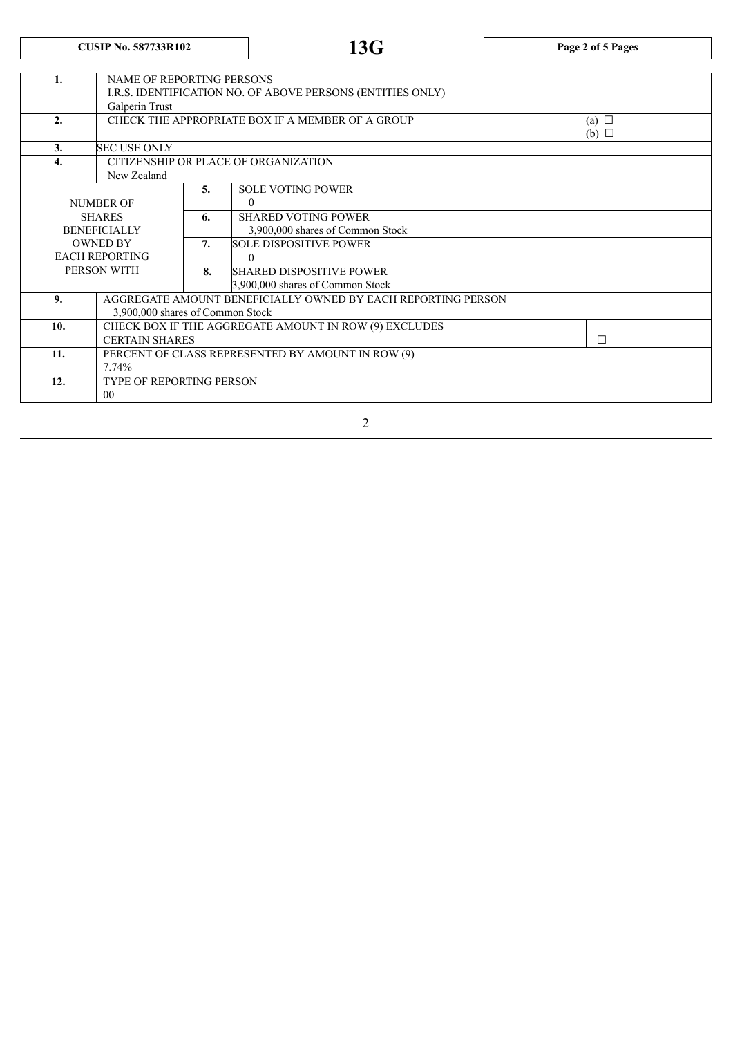# **CUSIP No. 587733R102 13G Page <sup>2</sup> of <sup>5</sup> Pages**

| 1.            | <b>NAME OF REPORTING PERSONS</b>                           |    |                                                              |            |  |  |
|---------------|------------------------------------------------------------|----|--------------------------------------------------------------|------------|--|--|
|               | I.R.S. IDENTIFICATION NO. OF ABOVE PERSONS (ENTITIES ONLY) |    |                                                              |            |  |  |
|               | Galperin Trust                                             |    |                                                              |            |  |  |
| 2.            |                                                            |    | CHECK THE APPROPRIATE BOX IF A MEMBER OF A GROUP             | (a) $\Box$ |  |  |
|               |                                                            |    |                                                              | (b) $\Box$ |  |  |
| 3.            | <b>SEC USE ONLY</b>                                        |    |                                                              |            |  |  |
| 4.            | CITIZENSHIP OR PLACE OF ORGANIZATION                       |    |                                                              |            |  |  |
|               | New Zealand                                                |    |                                                              |            |  |  |
|               |                                                            | 5. | <b>SOLE VOTING POWER</b>                                     |            |  |  |
|               | <b>NUMBER OF</b>                                           |    | $\Omega$                                                     |            |  |  |
| <b>SHARES</b> |                                                            | 6. | <b>SHARED VOTING POWER</b>                                   |            |  |  |
|               | <b>BENEFICIALLY</b>                                        |    | 3,900,000 shares of Common Stock                             |            |  |  |
|               | <b>OWNED BY</b>                                            |    | <b>SOLE DISPOSITIVE POWER</b>                                |            |  |  |
|               | <b>EACH REPORTING</b>                                      |    | $\Omega$                                                     |            |  |  |
|               | PERSON WITH                                                | 8. | <b>SHARED DISPOSITIVE POWER</b>                              |            |  |  |
|               |                                                            |    | 3,900,000 shares of Common Stock                             |            |  |  |
| 9.            |                                                            |    | AGGREGATE AMOUNT BENEFICIALLY OWNED BY EACH REPORTING PERSON |            |  |  |
|               | 3,900,000 shares of Common Stock                           |    |                                                              |            |  |  |
| 10.           |                                                            |    | CHECK BOX IF THE AGGREGATE AMOUNT IN ROW (9) EXCLUDES        |            |  |  |
|               | <b>CERTAIN SHARES</b>                                      |    |                                                              | П          |  |  |
| 11.           |                                                            |    | PERCENT OF CLASS REPRESENTED BY AMOUNT IN ROW (9)            |            |  |  |
|               | 7.74%                                                      |    |                                                              |            |  |  |
| 12.           | <b>TYPE OF REPORTING PERSON</b>                            |    |                                                              |            |  |  |
|               | 0 <sup>0</sup>                                             |    |                                                              |            |  |  |
|               |                                                            |    |                                                              |            |  |  |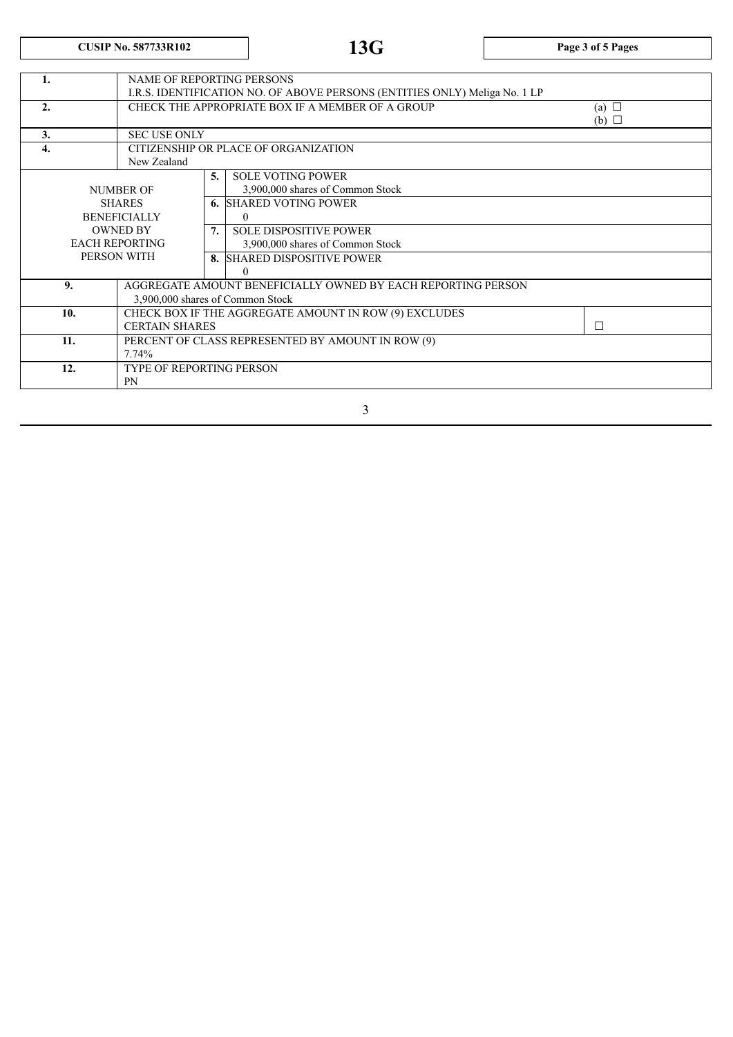**CUSIP No. 587733R102 13G Page <sup>3</sup> of <sup>5</sup> Pages**

| 1.               |                       | <b>NAME OF REPORTING PERSONS</b>                                           |    |                                                              |        |  |
|------------------|-----------------------|----------------------------------------------------------------------------|----|--------------------------------------------------------------|--------|--|
|                  |                       | I.R.S. IDENTIFICATION NO. OF ABOVE PERSONS (ENTITIES ONLY) Meliga No. 1 LP |    |                                                              |        |  |
| 2.               |                       | CHECK THE APPROPRIATE BOX IF A MEMBER OF A GROUP<br>(a) $\Box$             |    |                                                              |        |  |
|                  |                       | (b) $\Box$                                                                 |    |                                                              |        |  |
| 3.               |                       | <b>SEC USE ONLY</b>                                                        |    |                                                              |        |  |
| $\overline{4}$ . |                       | CITIZENSHIP OR PLACE OF ORGANIZATION                                       |    |                                                              |        |  |
|                  |                       | New Zealand                                                                |    |                                                              |        |  |
|                  |                       |                                                                            | 5. | <b>SOLE VOTING POWER</b>                                     |        |  |
|                  | NUMBER OF             |                                                                            |    | 3,900,000 shares of Common Stock                             |        |  |
|                  | <b>SHARES</b>         |                                                                            |    | <b>6. SHARED VOTING POWER</b>                                |        |  |
|                  | <b>BENEFICIALLY</b>   |                                                                            |    | $\mathbf{0}$                                                 |        |  |
|                  | <b>OWNED BY</b>       |                                                                            | 7. | <b>SOLE DISPOSITIVE POWER</b>                                |        |  |
|                  | <b>EACH REPORTING</b> |                                                                            |    | 3,900,000 shares of Common Stock                             |        |  |
|                  |                       | PERSON WITH                                                                |    | 8. SHARED DISPOSITIVE POWER                                  |        |  |
|                  |                       |                                                                            |    | $\Omega$                                                     |        |  |
|                  | 9.                    |                                                                            |    | AGGREGATE AMOUNT BENEFICIALLY OWNED BY EACH REPORTING PERSON |        |  |
|                  |                       | 3,900,000 shares of Common Stock                                           |    |                                                              |        |  |
|                  | 10.                   |                                                                            |    | CHECK BOX IF THE AGGREGATE AMOUNT IN ROW (9) EXCLUDES        |        |  |
|                  |                       | <b>CERTAIN SHARES</b>                                                      |    |                                                              | $\Box$ |  |
|                  | 11.                   |                                                                            |    | PERCENT OF CLASS REPRESENTED BY AMOUNT IN ROW (9)            |        |  |
|                  | 7.74%                 |                                                                            |    |                                                              |        |  |
|                  | 12.                   | <b>TYPE OF REPORTING PERSON</b>                                            |    |                                                              |        |  |
|                  | <b>PN</b>             |                                                                            |    |                                                              |        |  |
|                  |                       |                                                                            |    |                                                              |        |  |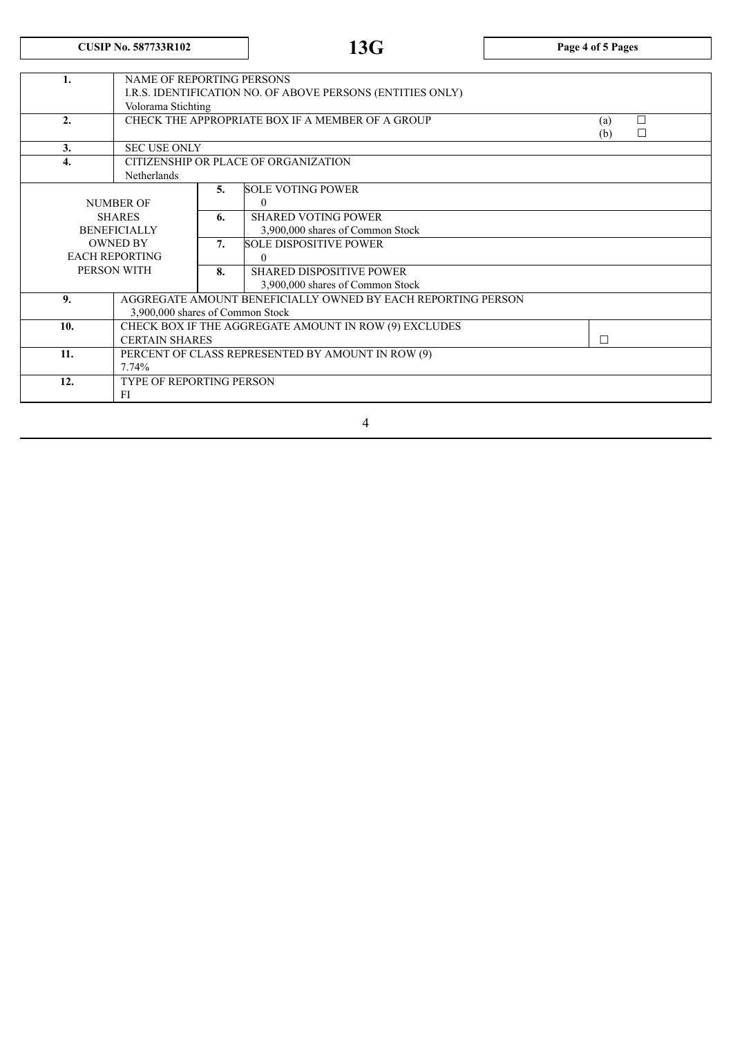# **CUSIP No. 587733R102 13G Page <sup>4</sup> of <sup>5</sup> Pages**

| 1.  | <b>NAME OF REPORTING PERSONS</b>                           |    |                                                              |     |        |  |  |
|-----|------------------------------------------------------------|----|--------------------------------------------------------------|-----|--------|--|--|
|     | I.R.S. IDENTIFICATION NO. OF ABOVE PERSONS (ENTITIES ONLY) |    |                                                              |     |        |  |  |
|     | Volorama Stichting                                         |    |                                                              |     |        |  |  |
| 2.  | CHECK THE APPROPRIATE BOX IF A MEMBER OF A GROUP           |    |                                                              | (a) | $\Box$ |  |  |
|     |                                                            |    |                                                              |     | П      |  |  |
| 3.  | <b>SEC USE ONLY</b>                                        |    |                                                              |     |        |  |  |
| 4.  | CITIZENSHIP OR PLACE OF ORGANIZATION                       |    |                                                              |     |        |  |  |
|     | Netherlands                                                |    |                                                              |     |        |  |  |
|     |                                                            | 5. | <b>SOLE VOTING POWER</b>                                     |     |        |  |  |
|     | NUMBER OF                                                  |    | $\mathbf{0}$                                                 |     |        |  |  |
|     | <b>SHARES</b>                                              |    | <b>SHARED VOTING POWER</b>                                   |     |        |  |  |
|     | <b>BENEFICIALLY</b>                                        |    | 3,900,000 shares of Common Stock                             |     |        |  |  |
|     | <b>OWNED BY</b>                                            |    | <b>SOLE DISPOSITIVE POWER</b>                                |     |        |  |  |
|     | <b>EACH REPORTING</b>                                      |    | $\theta$                                                     |     |        |  |  |
|     | PERSON WITH                                                | 8. | <b>SHARED DISPOSITIVE POWER</b>                              |     |        |  |  |
|     |                                                            |    | 3,900,000 shares of Common Stock                             |     |        |  |  |
| 9.  |                                                            |    | AGGREGATE AMOUNT BENEFICIALLY OWNED BY EACH REPORTING PERSON |     |        |  |  |
|     | 3,900,000 shares of Common Stock                           |    |                                                              |     |        |  |  |
| 10. |                                                            |    | CHECK BOX IF THE AGGREGATE AMOUNT IN ROW (9) EXCLUDES        |     |        |  |  |
|     | <b>CERTAIN SHARES</b>                                      |    |                                                              | П   |        |  |  |
| 11. |                                                            |    | PERCENT OF CLASS REPRESENTED BY AMOUNT IN ROW (9)            |     |        |  |  |
|     | 7.74%                                                      |    |                                                              |     |        |  |  |
| 12. | TYPE OF REPORTING PERSON                                   |    |                                                              |     |        |  |  |
|     | FI                                                         |    |                                                              |     |        |  |  |
|     |                                                            |    |                                                              |     |        |  |  |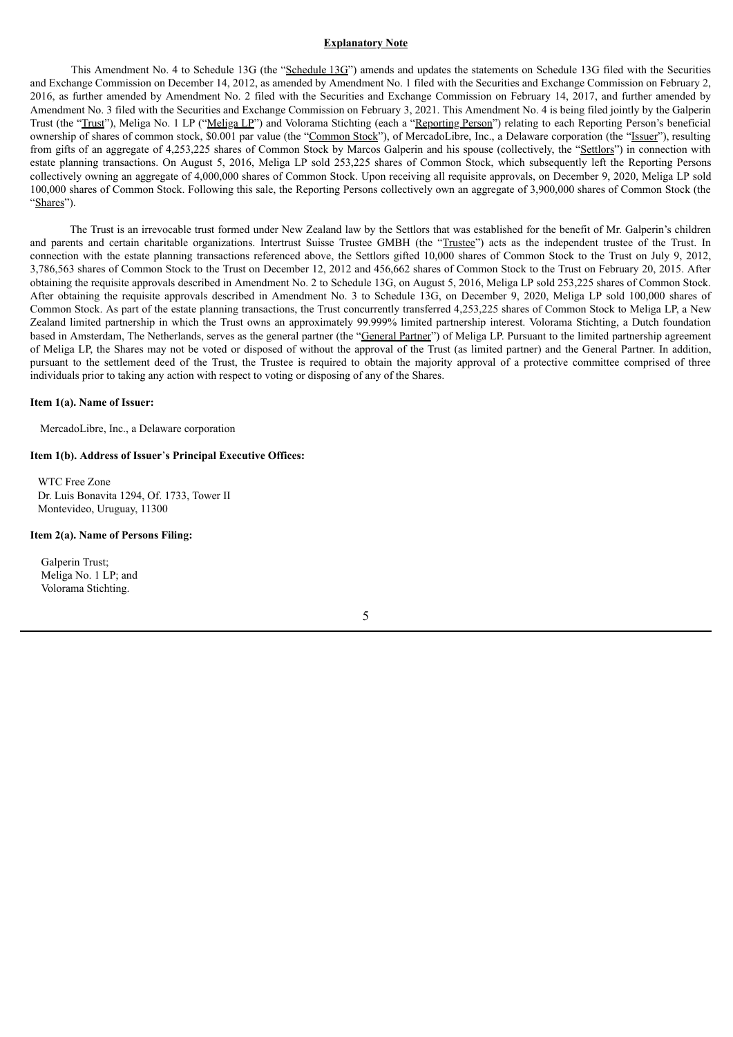#### **Explanatory Note**

This Amendment No. 4 to Schedule 13G (the "Schedule 13G") amends and updates the statements on Schedule 13G filed with the Securities and Exchange Commission on December 14, 2012, as amended by Amendment No. 1 filed with the Securities and Exchange Commission on February 2, 2016, as further amended by Amendment No. 2 filed with the Securities and Exchange Commission on February 14, 2017, and further amended by Amendment No. 3 filed with the Securities and Exchange Commission on February 3, 2021. This Amendment No. 4 is being filed jointly by the Galperin Trust (the "Trust"), Meliga No. 1 LP ("Meliga LP") and Volorama Stichting (each a "Reporting Person") relating to each Reporting Person's beneficial ownership of shares of common stock, \$0.001 par value (the "Common Stock"), of MercadoLibre, Inc., a Delaware corporation (the "Issuer"), resulting from gifts of an aggregate of 4,253,225 shares of Common Stock by Marcos Galperin and his spouse (collectively, the "Settlors") in connection with estate planning transactions. On August 5, 2016, Meliga LP sold 253,225 shares of Common Stock, which subsequently left the Reporting Persons collectively owning an aggregate of 4,000,000 shares of Common Stock. Upon receiving all requisite approvals, on December 9, 2020, Meliga LP sold 100,000 shares of Common Stock. Following this sale, the Reporting Persons collectively own an aggregate of 3,900,000 shares of Common Stock (the "Shares").

The Trust is an irrevocable trust formed under New Zealand law by the Settlors that was established for the benefit of Mr. Galperin's children and parents and certain charitable organizations. Intertrust Suisse Trustee GMBH (the "Trustee") acts as the independent trustee of the Trust. In connection with the estate planning transactions referenced above, the Settlors gifted 10,000 shares of Common Stock to the Trust on July 9, 2012, 3,786,563 shares of Common Stock to the Trust on December 12, 2012 and 456,662 shares of Common Stock to the Trust on February 20, 2015. After obtaining the requisite approvals described in Amendment No. 2 to Schedule 13G, on August 5, 2016, Meliga LP sold 253,225 shares of Common Stock. After obtaining the requisite approvals described in Amendment No. 3 to Schedule 13G, on December 9, 2020, Meliga LP sold 100,000 shares of Common Stock. As part of the estate planning transactions, the Trust concurrently transferred 4,253,225 shares of Common Stock to Meliga LP, a New Zealand limited partnership in which the Trust owns an approximately 99.999% limited partnership interest. Volorama Stichting, a Dutch foundation based in Amsterdam, The Netherlands, serves as the general partner (the "General Partner") of Meliga LP. Pursuant to the limited partnership agreement of Meliga LP, the Shares may not be voted or disposed of without the approval of the Trust (as limited partner) and the General Partner. In addition, pursuant to the settlement deed of the Trust, the Trustee is required to obtain the majority approval of a protective committee comprised of three individuals prior to taking any action with respect to voting or disposing of any of the Shares.

#### **Item 1(a). Name of Issuer:**

MercadoLibre, Inc., a Delaware corporation

#### **Item 1(b). Address of Issuer**'**s Principal Executive Offices:**

WTC Free Zone Dr. Luis Bonavita 1294, Of. 1733, Tower II Montevideo, Uruguay, 11300

#### **Item 2(a). Name of Persons Filing:**

Galperin Trust; Meliga No. 1 LP; and Volorama Stichting.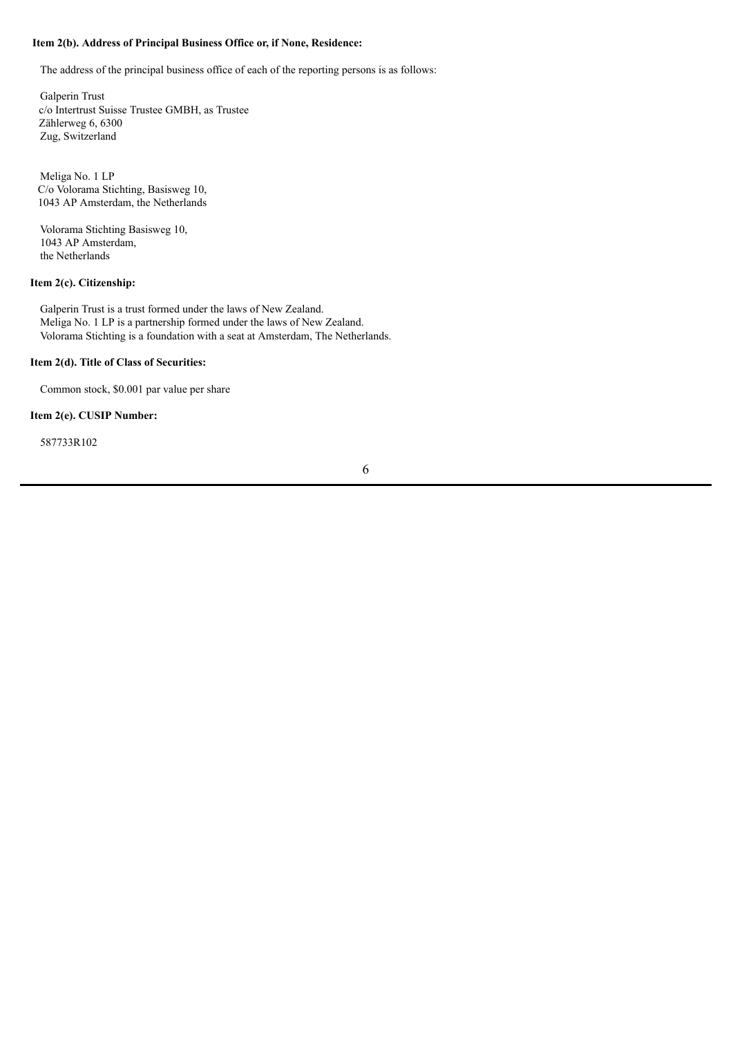### **Item 2(b). Address of Principal Business Office or, if None, Residence:**

The address of the principal business office of each of the reporting persons is as follows:

Galperin Trust c/o Intertrust Suisse Trustee GMBH, as Trustee Zählerweg 6, 6300 Zug, Switzerland

Meliga No. 1 LP C/o Volorama Stichting, Basisweg 10, 1043 AP Amsterdam, the Netherlands

Volorama Stichting Basisweg 10, 1043 AP Amsterdam, the Netherlands

#### **Item 2(c). Citizenship:**

Galperin Trust is a trust formed under the laws of New Zealand. Meliga No. 1 LP is a partnership formed under the laws of New Zealand. Volorama Stichting is a foundation with a seat at Amsterdam, The Netherlands.

#### **Item 2(d). Title of Class of Securities:**

Common stock, \$0.001 par value per share

### **Item 2(e). CUSIP Number:**

587733R102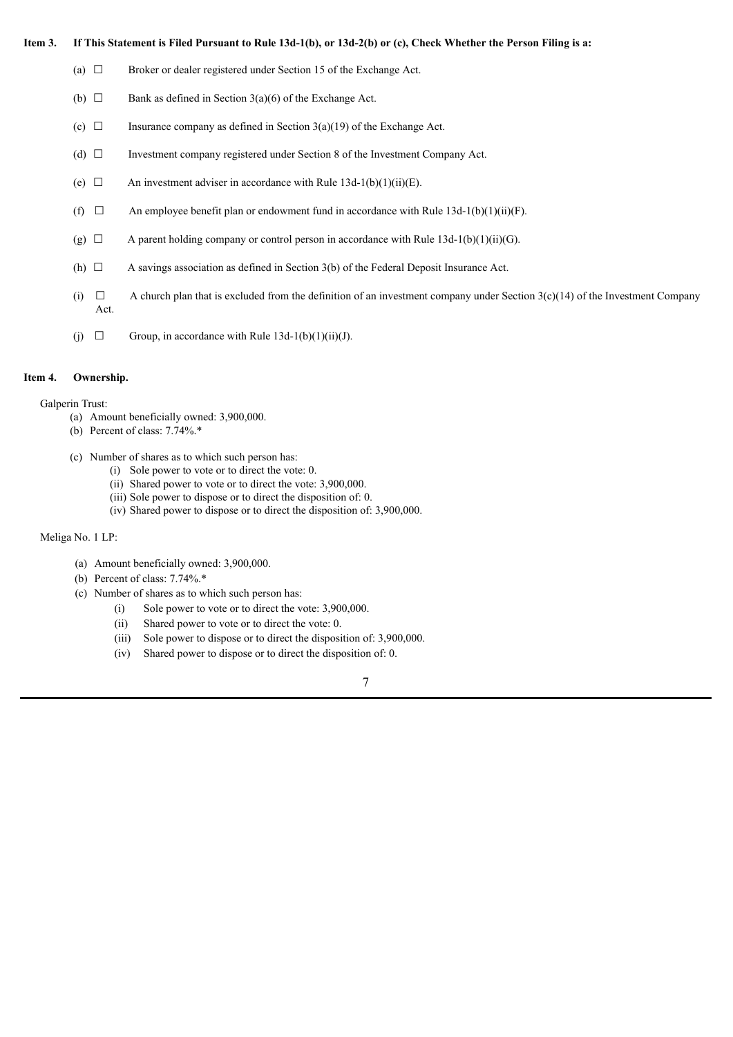#### Item 3. If This Statement is Filed Pursuant to Rule 13d-1(b), or 13d-2(b) or (c), Check Whether the Person Filing is a:

- (a)  $\Box$  Broker or dealer registered under Section 15 of the Exchange Act.
- (b)  $\Box$  Bank as defined in Section 3(a)(6) of the Exchange Act.
- (c)  $\Box$  Insurance company as defined in Section 3(a)(19) of the Exchange Act.
- (d) ☐ Investment company registered under Section 8 of the Investment Company Act.
- (e)  $\Box$  An investment adviser in accordance with Rule 13d-1(b)(1)(ii)(E).
- (f)  $\Box$  An employee benefit plan or endowment fund in accordance with Rule 13d-1(b)(1)(ii)(F).
- (g)  $\Box$  A parent holding company or control person in accordance with Rule 13d-1(b)(1)(ii)(G).
- (h)  $\Box$  A savings association as defined in Section 3(b) of the Federal Deposit Insurance Act.
- (i)  $\Box$  A church plan that is excluded from the definition of an investment company under Section 3(c)(14) of the Investment Company Act.
- (j)  $\Box$  Group, in accordance with Rule 13d-1(b)(1)(ii)(J).

#### **Item 4. Ownership.**

Galperin Trust:

- (a) Amount beneficially owned: 3,900,000.
- (b) Percent of class: 7.74%.\*
- (c) Number of shares as to which such person has:
	- (i) Sole power to vote or to direct the vote: 0.
	- (ii) Shared power to vote or to direct the vote: 3,900,000.
	- (iii) Sole power to dispose or to direct the disposition of: 0.
	- (iv) Shared power to dispose or to direct the disposition of: 3,900,000.

#### Meliga No. 1 LP:

- (a) Amount beneficially owned: 3,900,000.
- (b) Percent of class: 7.74%.\*
- (c) Number of shares as to which such person has:
	- (i) Sole power to vote or to direct the vote: 3,900,000.
	- (ii) Shared power to vote or to direct the vote: 0.
	- (iii) Sole power to dispose or to direct the disposition of: 3,900,000.
	- (iv) Shared power to dispose or to direct the disposition of: 0.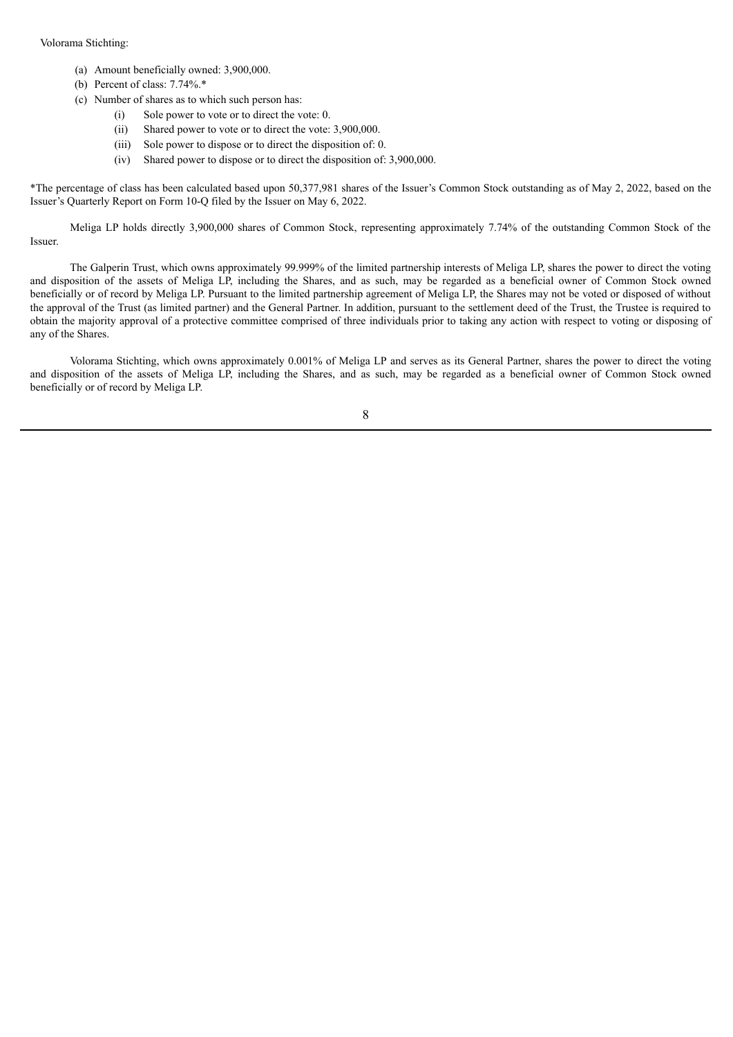#### Volorama Stichting:

- (a) Amount beneficially owned: 3,900,000.
- (b) Percent of class: 7.74%.\*
- (c) Number of shares as to which such person has:
	- (i) Sole power to vote or to direct the vote: 0.
	- (ii) Shared power to vote or to direct the vote: 3,900,000.
	- (iii) Sole power to dispose or to direct the disposition of: 0.
	- (iv) Shared power to dispose or to direct the disposition of: 3,900,000.

\*The percentage of class has been calculated based upon 50,377,981 shares of the Issuer's Common Stock outstanding as of May 2, 2022, based on the Issuer's Quarterly Report on Form 10-Q filed by the Issuer on May 6, 2022.

Meliga LP holds directly 3,900,000 shares of Common Stock, representing approximately 7.74% of the outstanding Common Stock of the Issuer.

The Galperin Trust, which owns approximately 99.999% of the limited partnership interests of Meliga LP, shares the power to direct the voting and disposition of the assets of Meliga LP, including the Shares, and as such, may be regarded as a beneficial owner of Common Stock owned beneficially or of record by Meliga LP. Pursuant to the limited partnership agreement of Meliga LP, the Shares may not be voted or disposed of without the approval of the Trust (as limited partner) and the General Partner. In addition, pursuant to the settlement deed of the Trust, the Trustee is required to obtain the majority approval of a protective committee comprised of three individuals prior to taking any action with respect to voting or disposing of any of the Shares.

Volorama Stichting, which owns approximately 0.001% of Meliga LP and serves as its General Partner, shares the power to direct the voting and disposition of the assets of Meliga LP, including the Shares, and as such, may be regarded as a beneficial owner of Common Stock owned beneficially or of record by Meliga LP.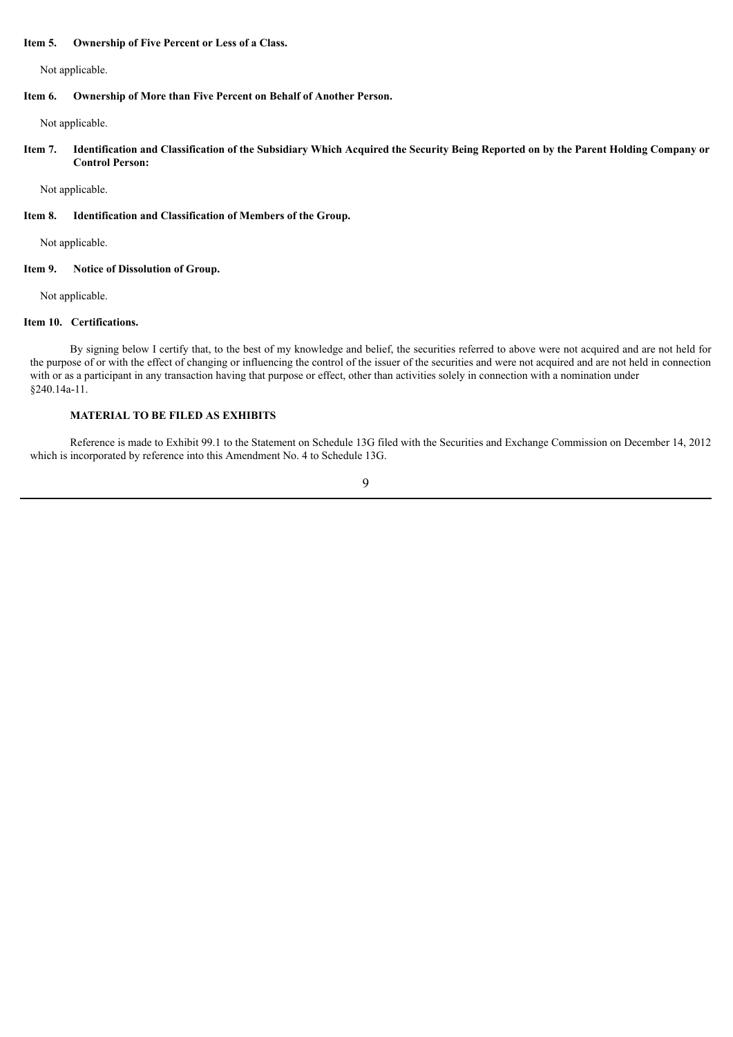#### **Item 5. Ownership of Five Percent or Less of a Class.**

Not applicable.

#### **Item 6. Ownership of More than Five Percent on Behalf of Another Person.**

Not applicable.

Item 7. Identification and Classification of the Subsidiary Which Acquired the Security Being Reported on by the Parent Holding Company or **Control Person:**

Not applicable.

#### **Item 8. Identification and Classification of Members of the Group.**

Not applicable.

#### **Item 9. Notice of Dissolution of Group.**

Not applicable.

#### **Item 10. Certifications.**

By signing below I certify that, to the best of my knowledge and belief, the securities referred to above were not acquired and are not held for the purpose of or with the effect of changing or influencing the control of the issuer of the securities and were not acquired and are not held in connection with or as a participant in any transaction having that purpose or effect, other than activities solely in connection with a nomination under §240.14a-11.

### **MATERIAL TO BE FILED AS EXHIBITS**

Reference is made to Exhibit 99.1 to the Statement on Schedule 13G filed with the Securities and Exchange Commission on December 14, 2012 which is incorporated by reference into this Amendment No. 4 to Schedule 13G.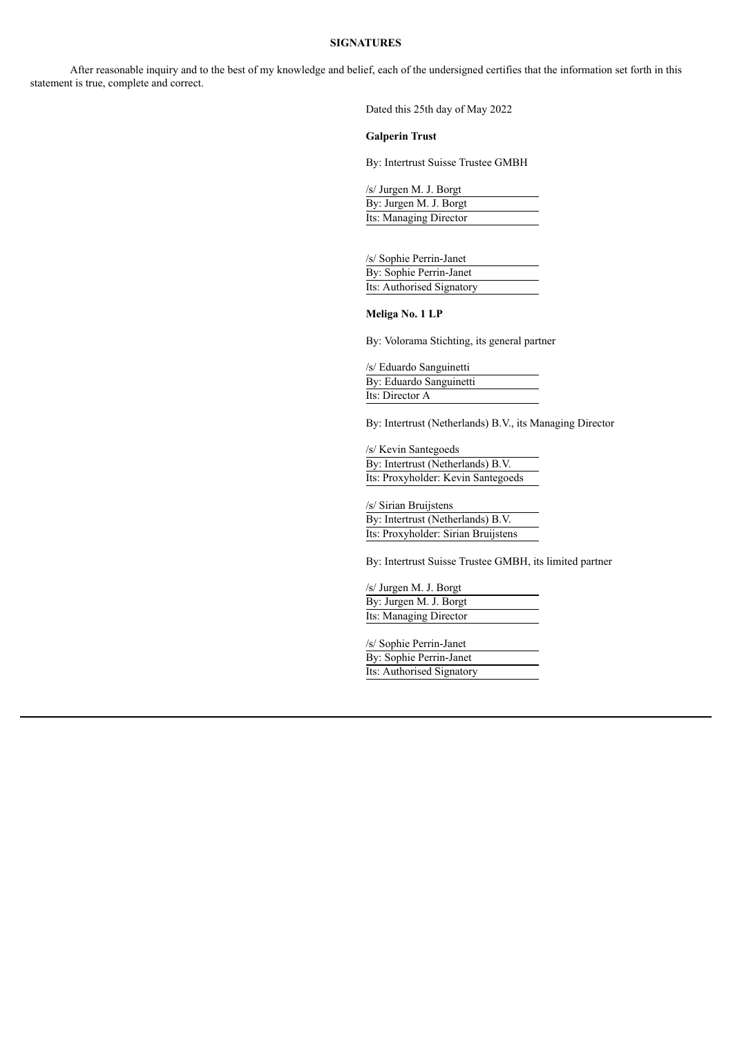#### **SIGNATURES**

After reasonable inquiry and to the best of my knowledge and belief, each of the undersigned certifies that the information set forth in this statement is true, complete and correct.

Dated this 25th day of May 2022

#### **Galperin Trust**

By: Intertrust Suisse Trustee GMBH

/s/ Jurgen M. J. Borgt By: Jurgen M. J. Borgt Its: Managing Director

/s/ Sophie Perrin-Janet By: Sophie Perrin-Janet Its: Authorised Signatory

**Meliga No. 1 LP**

By: Volorama Stichting, its general partner

/s/ Eduardo Sanguinetti By: Eduardo Sanguinetti Its: Director A

By: Intertrust (Netherlands) B.V., its Managing Director

/s/ Kevin Santegoeds By: Intertrust (Netherlands) B.V. Its: Proxyholder: Kevin Santegoeds

/s/ Sirian Bruijstens By: Intertrust (Netherlands) B.V. Its: Proxyholder: Sirian Bruijstens

By: Intertrust Suisse Trustee GMBH, its limited partner

/s/ Jurgen M. J. Borgt By: Jurgen M. J. Borgt Its: Managing Director

/s/ Sophie Perrin-Janet By: Sophie Perrin-Janet Its: Authorised Signatory